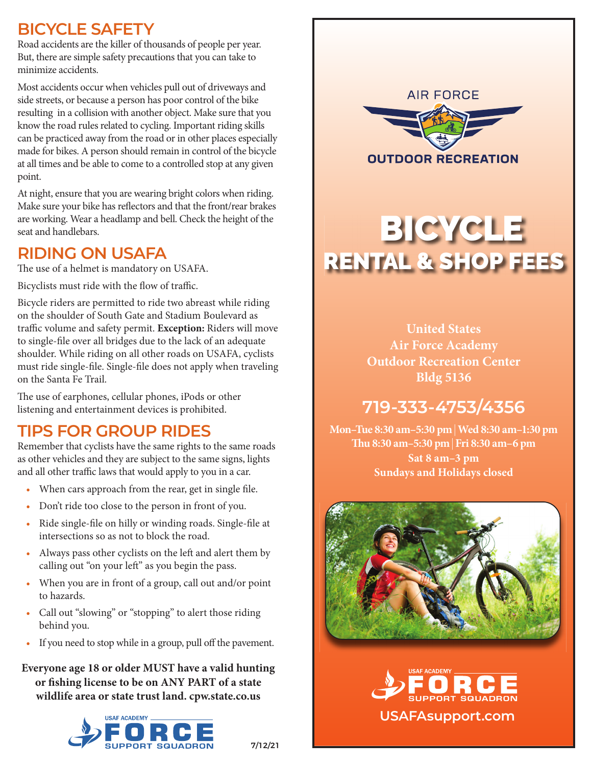# **BICYCLE SAFETY**

Road accidents are the killer of thousands of people per year. But, there are simple safety precautions that you can take to minimize accidents.

Most accidents occur when vehicles pull out of driveways and side streets, or because a person has poor control of the bike resulting in a collision with another object. Make sure that you know the road rules related to cycling. Important riding skills can be practiced away from the road or in other places especially made for bikes. A person should remain in control of the bicycle at all times and be able to come to a controlled stop at any given point.

At night, ensure that you are wearing bright colors when riding. Make sure your bike has reflectors and that the front/rear brakes are working. Wear a headlamp and bell. Check the height of the seat and handlebars.

# **RIDING ON USAFA**

The use of a helmet is mandatory on USAFA.

Bicyclists must ride with the flow of traffic.

Bicycle riders are permitted to ride two abreast while riding on the shoulder of South Gate and Stadium Boulevard as traffic volume and safety permit. Exception: Riders will move to single-file over all bridges due to the lack of an adequate shoulder. While riding on all other roads on USAFA, cyclists must ride single-file. Single-file does not apply when traveling on the Santa Fe Trail.

The use of earphones, cellular phones, iPods or other listening and entertainment devices is prohibited.

# **TIPS FOR GROUP RIDES**

Remember that cyclists have the same rights to the same roads as other vehicles and they are subject to the same signs, lights and all other traffic laws that would apply to you in a car.

- When cars approach from the rear, get in single file.
- Don't ride too close to the person in front of you.
- Ride single-file on hilly or winding roads. Single-file at intersections so as not to block the road.
- Always pass other cyclists on the left and alert them by calling out "on your left" as you begin the pass.
- When you are in front of a group, call out and/or point to hazards.
- Call out "slowing" or "stopping" to alert those riding behind you.
- If you need to stop while in a group, pull off the pavement.

**Everyone age 18 or older MUST have a valid hunting or fi shing license to be on ANY PART of a state wildlife area or state trust land. cpw.state.co.us**